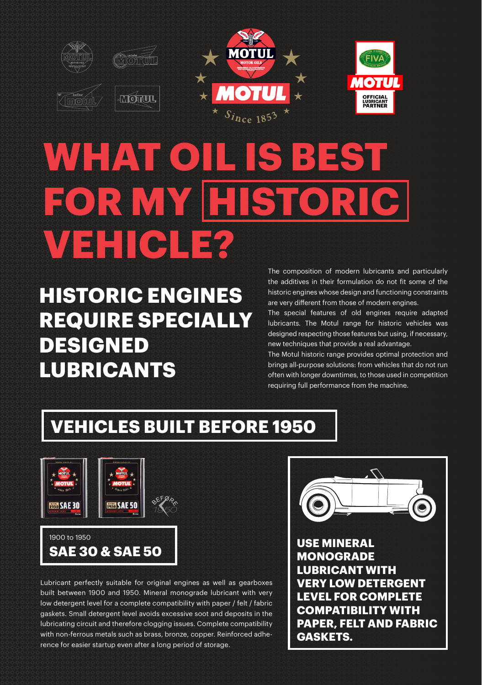

# WHAT OIL IS B **FORMY HIS VEHICLE?**

**HISTORIC ENGINES REQUIRE SPECIALLY DESIGNED LUBRICANTS** 

The composition of modern lubricants and particularly the additives in their formulation do not fit some of the historic engines whose design and functioning constraints are very different from those of modern engines.

The special features of old engines require adapted lubricants. The Motul range for historic vehicles was designed respecting those features but using, if necessary, new techniques that provide a real advantage.

The Motul historic range provides optimal protection and brings all-purpose solutions: from vehicles that do not run often with longer downtimes, to those used in competition requiring full performance from the machine.

## **VEHICLES BUILT BEFORE 1950**



Lubricant perfectly suitable for original engines as well as gearboxes built between 1900 and 1950. Mineral monograde lubricant with very low detergent level for a complete compatibility with paper / felt / fabric gaskets. Small detergent level avoids excessive soot and deposits in the lubricating circuit and therefore clogging issues. Complete compatibility with non-ferrous metals such as brass, bronze, copper. Reinforced adherence for easier startup even after a long period of storage.



**VERY LOW DETERGENT LEVEL FOR COMPLETE COMPATIBILITY WITH PAPER, FELT AND FABRIC GASKETS.**